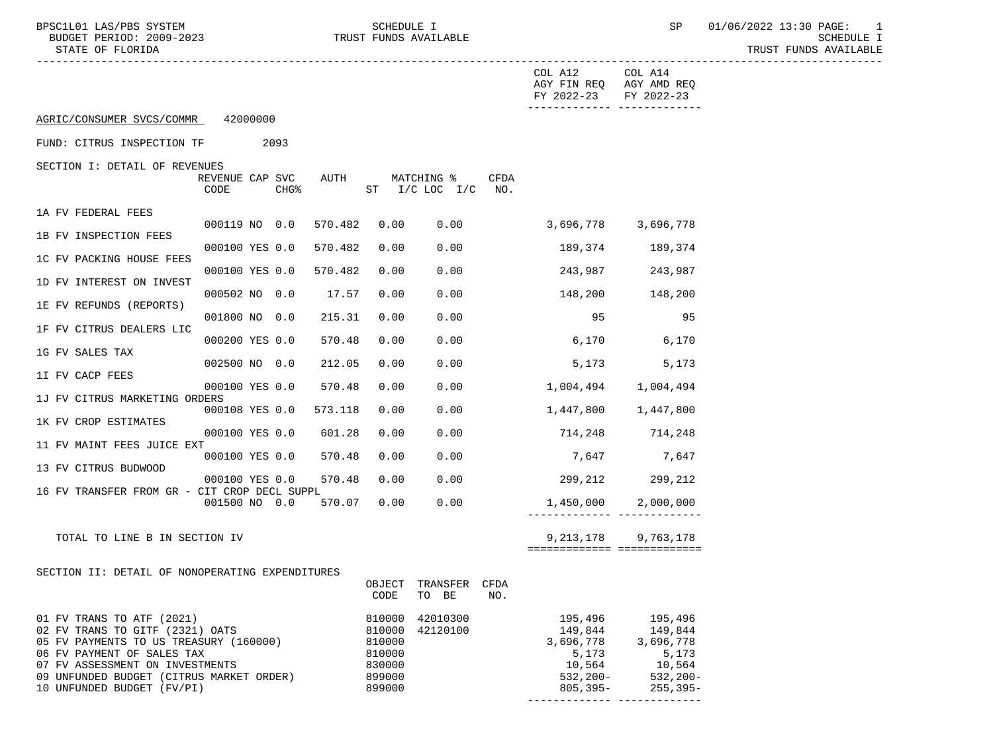TRUST FUNDS AVAILABLE

|                                                                                                                                                                                                                                                   |                                             |         |                                                                    |                              |             | COL A12 COL A14<br>AGY FIN REQ AGY AMD REQ<br>FY 2022-23 FY 2022-23              | -------------- --------------                                                                                        |
|---------------------------------------------------------------------------------------------------------------------------------------------------------------------------------------------------------------------------------------------------|---------------------------------------------|---------|--------------------------------------------------------------------|------------------------------|-------------|----------------------------------------------------------------------------------|----------------------------------------------------------------------------------------------------------------------|
| AGRIC/CONSUMER SVCS/COMMR 42000000                                                                                                                                                                                                                |                                             |         |                                                                    |                              |             |                                                                                  |                                                                                                                      |
| FUND: CITRUS INSPECTION TF                                                                                                                                                                                                                        | 2093                                        |         |                                                                    |                              |             |                                                                                  |                                                                                                                      |
| SECTION I: DETAIL OF REVENUES                                                                                                                                                                                                                     | REVENUE CAP SVC<br>CHG <sup>8</sup><br>CODE | AUTH    |                                                                    | MATCHING %<br>ST I/C LOC I/C | CFDA<br>NO. |                                                                                  |                                                                                                                      |
| 1A FV FEDERAL FEES                                                                                                                                                                                                                                |                                             |         |                                                                    |                              |             |                                                                                  |                                                                                                                      |
| 1B FV INSPECTION FEES                                                                                                                                                                                                                             | 000119 NO 0.0                               | 570.482 | 0.00                                                               | 0.00                         |             | $3,696,778$ $3,696,778$                                                          |                                                                                                                      |
| 1C FV PACKING HOUSE FEES                                                                                                                                                                                                                          | 000100 YES 0.0                              | 570.482 | 0.00                                                               | 0.00                         |             |                                                                                  | 189,374 189,374                                                                                                      |
| 1D FV INTEREST ON INVEST                                                                                                                                                                                                                          | 000100 YES 0.0                              | 570.482 | 0.00                                                               | 0.00                         |             | 243,987                                                                          | 243,987                                                                                                              |
| 1E FV REFUNDS (REPORTS)                                                                                                                                                                                                                           | 000502 NO 0.0                               | 17.57   | 0.00                                                               | 0.00                         |             | 148,200                                                                          | 148,200                                                                                                              |
|                                                                                                                                                                                                                                                   | 001800 NO 0.0                               | 215.31  | 0.00                                                               | 0.00                         |             | 95                                                                               | 95                                                                                                                   |
| 1F FV CITRUS DEALERS LIC                                                                                                                                                                                                                          | 000200 YES 0.0                              | 570.48  | 0.00                                                               | 0.00                         |             | 6,170                                                                            | 6,170                                                                                                                |
| 1G FV SALES TAX                                                                                                                                                                                                                                   | 002500 NO 0.0                               | 212.05  | 0.00                                                               | 0.00                         |             | 5,173                                                                            | 5,173                                                                                                                |
| 1I FV CACP FEES                                                                                                                                                                                                                                   | 000100 YES 0.0                              | 570.48  | 0.00                                                               | 0.00                         |             |                                                                                  | 1,004,494 1,004,494                                                                                                  |
| 1J FV CITRUS MARKETING ORDERS                                                                                                                                                                                                                     | 000108 YES 0.0                              | 573.118 | 0.00                                                               | 0.00                         |             | 1,447,800                                                                        | 1,447,800                                                                                                            |
| 1K FV CROP ESTIMATES                                                                                                                                                                                                                              |                                             | 601.28  | 0.00                                                               | 0.00                         |             | 714,248 714,248                                                                  |                                                                                                                      |
| 11 FV MAINT FEES JUICE EXT                                                                                                                                                                                                                        | 000100 YES 0.0                              |         |                                                                    |                              |             |                                                                                  |                                                                                                                      |
| 13 FV CITRUS BUDWOOD                                                                                                                                                                                                                              | 000100 YES 0.0                              | 570.48  | 0.00                                                               | 0.00                         |             | 7,647                                                                            | 7,647                                                                                                                |
| 16 FV TRANSFER FROM GR - CIT CROP DECL SUPPL                                                                                                                                                                                                      | 000100 YES 0.0                              | 570.48  | 0.00                                                               | 0.00                         |             |                                                                                  | 299,212 299,212                                                                                                      |
|                                                                                                                                                                                                                                                   | 001500 NO 0.0                               | 570.07  | 0.00                                                               | 0.00                         |             | 1,450,000                                                                        | 2,000,000                                                                                                            |
| TOTAL TO LINE B IN SECTION IV                                                                                                                                                                                                                     |                                             |         |                                                                    |                              |             | 9,213,178<br>===========================                                         | 9,763,178                                                                                                            |
| SECTION II: DETAIL OF NONOPERATING EXPENDITURES                                                                                                                                                                                                   |                                             |         | OBJECT TRANSFER CFDA<br>CODE TO BE                                 | NO.                          |             |                                                                                  |                                                                                                                      |
| 01 FV TRANS TO ATF (2021)<br>02 FV TRANS TO GITF (2321) OATS<br>05 FV PAYMENTS TO US TREASURY (160000)<br>06 FV PAYMENT OF SALES TAX<br>07 FV ASSESSMENT ON INVESTMENTS<br>09 UNFUNDED BUDGET (CITRUS MARKET ORDER)<br>10 UNFUNDED BUDGET (FV/PI) |                                             |         | 810000<br>810000<br>810000<br>810000<br>830000<br>899000<br>899000 | 42010300<br>42120100         |             | 195,496<br>149,844<br>3,696,778<br>5,173<br>10,564<br>$532,200-$<br>$805, 395 -$ | 195,496<br>149,844<br>3,696,778<br>5,173<br>10,564<br>$532,200-$<br>$255, 395 -$<br>________________________________ |
|                                                                                                                                                                                                                                                   |                                             |         |                                                                    |                              |             |                                                                                  |                                                                                                                      |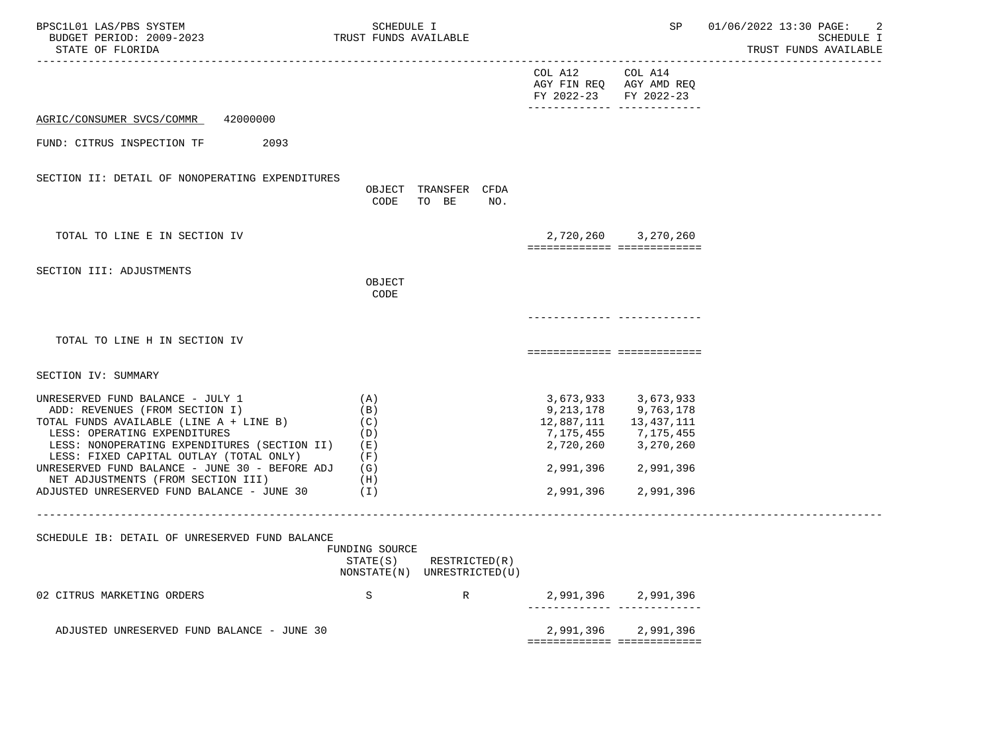| BPSC1L01 LAS/PBS SYSTEM<br>BUDGET PERIOD: 2009-2023<br>STATE OF FLORIDA                                                                                                                                                                                                                                                                                                                      | SCHEDULE I<br>TRUST FUNDS AVAILABLE                       |               |                                                                     | SP                                                                                                                                      | -2<br>01/06/2022 13:30 PAGE:<br>SCHEDULE I<br>TRUST FUNDS AVAILABLE |
|----------------------------------------------------------------------------------------------------------------------------------------------------------------------------------------------------------------------------------------------------------------------------------------------------------------------------------------------------------------------------------------------|-----------------------------------------------------------|---------------|---------------------------------------------------------------------|-----------------------------------------------------------------------------------------------------------------------------------------|---------------------------------------------------------------------|
|                                                                                                                                                                                                                                                                                                                                                                                              |                                                           |               | COL A12 COL A14<br>AGY FIN REQ AGY AMD REQ<br>FY 2022-23 FY 2022-23 |                                                                                                                                         |                                                                     |
| AGRIC/CONSUMER SVCS/COMMR<br>42000000                                                                                                                                                                                                                                                                                                                                                        |                                                           |               |                                                                     |                                                                                                                                         |                                                                     |
| 2093<br>FUND: CITRUS INSPECTION TF                                                                                                                                                                                                                                                                                                                                                           |                                                           |               |                                                                     |                                                                                                                                         |                                                                     |
| SECTION II: DETAIL OF NONOPERATING EXPENDITURES                                                                                                                                                                                                                                                                                                                                              | OBJECT TRANSFER CFDA<br>TO BE<br>CODE                     | NO.           |                                                                     |                                                                                                                                         |                                                                     |
| TOTAL TO LINE E IN SECTION IV                                                                                                                                                                                                                                                                                                                                                                |                                                           |               | ===========================                                         | 2,720,260 3,270,260                                                                                                                     |                                                                     |
| SECTION III: ADJUSTMENTS                                                                                                                                                                                                                                                                                                                                                                     | OBJECT<br>CODE                                            |               |                                                                     |                                                                                                                                         |                                                                     |
|                                                                                                                                                                                                                                                                                                                                                                                              |                                                           |               |                                                                     |                                                                                                                                         |                                                                     |
| TOTAL TO LINE H IN SECTION IV                                                                                                                                                                                                                                                                                                                                                                |                                                           |               | ============================                                        |                                                                                                                                         |                                                                     |
| SECTION IV: SUMMARY                                                                                                                                                                                                                                                                                                                                                                          |                                                           |               |                                                                     |                                                                                                                                         |                                                                     |
| UNRESERVED FUND BALANCE - JULY 1<br>ADD: REVENUES (FROM SECTION I)<br>TOTAL FUNDS AVAILABLE (LINE A + LINE B)<br>LESS: OPERATING EXPENDITURES<br>LESS: NONOPERATING EXPENDITURES (SECTION II) (E)<br>LESS: FIXED CAPITAL OUTLAY (TOTAL ONLY)<br>UNRESERVED FUND BALANCE - JUNE 30 - BEFORE ADJ (G)<br>NET ADJUSTMENTS (FROM SECTION III)<br>ADJUSTED UNRESERVED FUND BALANCE - JUNE $30$ (I) | (A)<br>(B)<br>(C)<br>(D)<br>(F)<br>(H)                    |               | 7,175,455<br>2,720,260<br>2,991,396                                 | 3,673,933 3,673,933<br>9, 213, 178 9, 763, 178<br>12,887,111   13,437,111<br>7,175,455<br>3,270,260<br>2,991,396 2,991,396<br>2,991,396 |                                                                     |
|                                                                                                                                                                                                                                                                                                                                                                                              |                                                           |               |                                                                     |                                                                                                                                         |                                                                     |
| SCHEDULE IB: DETAIL OF UNRESERVED FUND BALANCE                                                                                                                                                                                                                                                                                                                                               | FUNDING SOURCE<br>STATE(S)<br>NONSTATE(N) UNRESTRICTED(U) | RESTRICTED(R) |                                                                     |                                                                                                                                         |                                                                     |
| 02 CITRUS MARKETING ORDERS                                                                                                                                                                                                                                                                                                                                                                   | S                                                         | $\mathbb R$   | . _ _ _ _ _ _ _ _ _ _ _ _ _                                         | 2,991,396 2,991,396                                                                                                                     |                                                                     |
| ADJUSTED UNRESERVED FUND BALANCE - JUNE 30                                                                                                                                                                                                                                                                                                                                                   |                                                           |               |                                                                     | 2,991,396 2,991,396<br>============================                                                                                     |                                                                     |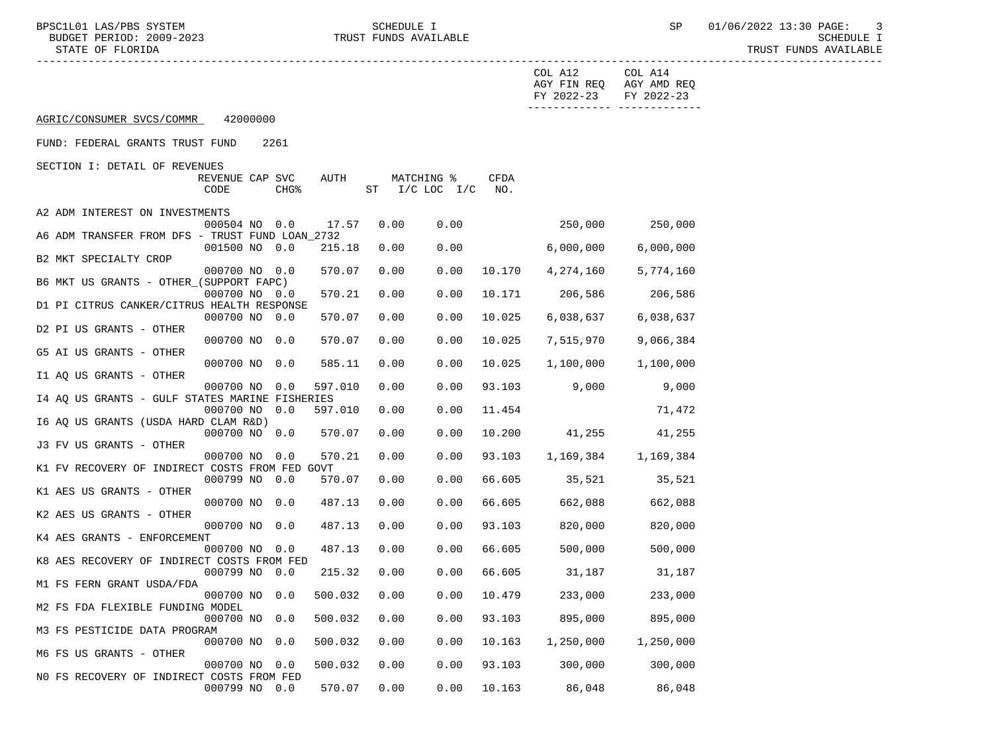BPSC1L01 LAS/PBS SYSTEM SCHEDULE I SEREDULE I SP 01/06/2022 13:30 PAGE: 3<br>BUDGET PERIOD: 2009-2023 TRUST FUNDS AVAILABLE

TRUST FUNDS AVAILABLE

|                                                 |                         |                  |         |      |                                        |             | COL A12<br>FY 2022-23 | COL A14<br>AGY FIN REQ AGY AMD REQ<br>FY 2022-23 |
|-------------------------------------------------|-------------------------|------------------|---------|------|----------------------------------------|-------------|-----------------------|--------------------------------------------------|
| AGRIC/CONSUMER SVCS/COMMR                       | 42000000                |                  |         |      |                                        |             |                       | -------------- --------------                    |
| FUND: FEDERAL GRANTS TRUST FUND                 |                         | 2261             |         |      |                                        |             |                       |                                                  |
| SECTION I: DETAIL OF REVENUES                   |                         |                  |         |      |                                        |             |                       |                                                  |
|                                                 | REVENUE CAP SVC<br>CODE | CHG <sup>8</sup> | AUTH    |      | MATCHING %<br>ST $I/C$ LOC $I/C$       | CFDA<br>NO. |                       |                                                  |
| A2 ADM INTEREST ON INVESTMENTS                  |                         |                  |         |      |                                        |             |                       |                                                  |
|                                                 | 000504 NO 0.0           |                  | 17.57   | 0.00 | 0.00                                   |             | $250,000$ $250,000$   |                                                  |
| A6 ADM TRANSFER FROM DFS - TRUST FUND LOAN 2732 |                         |                  |         |      |                                        |             |                       |                                                  |
|                                                 | 001500 NO 0.0           |                  | 215.18  | 0.00 | 0.00                                   |             | 6,000,000             | 6,000,000                                        |
| B2 MKT SPECIALTY CROP                           | 000700 NO 0.0           |                  | 570.07  | 0.00 | 0.00                                   | 10.170      | 4,274,160             | 5,774,160                                        |
| B6 MKT US GRANTS - OTHER (SUPPORT FAPC)         |                         |                  |         |      |                                        |             |                       |                                                  |
|                                                 | 000700 NO 0.0           |                  | 570.21  | 0.00 | 0.00                                   | 10.171      | 206,586               | 206,586                                          |
| D1 PI CITRUS CANKER/CITRUS HEALTH RESPONSE      |                         |                  |         |      |                                        |             |                       |                                                  |
|                                                 | 000700 NO 0.0           |                  | 570.07  | 0.00 | 0.00                                   | 10.025      | 6,038,637             | 6,038,637                                        |
| D2 PI US GRANTS - OTHER                         |                         |                  |         |      |                                        |             |                       |                                                  |
| G5 AI US GRANTS - OTHER                         | 000700 NO 0.0           |                  | 570.07  | 0.00 | 0.00                                   | 10.025      | 7,515,970             | 9,066,384                                        |
|                                                 | 000700 NO 0.0           |                  | 585.11  | 0.00 | 0.00                                   | 10.025      | 1,100,000             | 1,100,000                                        |
| I1 AO US GRANTS - OTHER                         |                         |                  |         |      |                                        |             |                       |                                                  |
|                                                 | 000700 NO 0.0           |                  | 597.010 | 0.00 | 0.00                                   | 93.103      | 9,000                 | 9,000                                            |
| I4 AQ US GRANTS - GULF STATES MARINE FISHERIES  |                         |                  |         |      |                                        |             |                       |                                                  |
|                                                 | 000700 NO 0.0           |                  | 597.010 | 0.00 | 0.00                                   | 11.454      |                       | 71,472                                           |
| I6 AQ US GRANTS (USDA HARD CLAM R&D)            | 000700 NO 0.0           |                  | 570.07  | 0.00 | 0.00                                   | 10.200      | 41,255                | 41,255                                           |
| J3 FV US GRANTS - OTHER                         |                         |                  |         |      |                                        |             |                       |                                                  |
|                                                 | 000700 NO               | 0.0              | 570.21  | 0.00 | 0.00                                   | 93.103      | 1,169,384             | 1,169,384                                        |
| K1 FV RECOVERY OF INDIRECT COSTS FROM FED GOVT  |                         |                  |         |      |                                        |             |                       |                                                  |
|                                                 | 000799 NO 0.0           |                  | 570.07  | 0.00 | 0.00                                   | 66.605      | 35,521                | 35,521                                           |
| K1 AES US GRANTS - OTHER                        | 000700 NO 0.0           |                  | 487.13  | 0.00 | 0.00                                   | 66.605      | 662,088               | 662,088                                          |
| K2 AES US GRANTS - OTHER                        |                         |                  |         |      |                                        |             |                       |                                                  |
|                                                 | 000700 NO 0.0           |                  | 487.13  | 0.00 | 0.00                                   | 93.103      | 820,000               | 820,000                                          |
| K4 AES GRANTS - ENFORCEMENT                     |                         |                  |         |      |                                        |             |                       |                                                  |
|                                                 | 000700 NO 0.0           |                  | 487.13  | 0.00 | 0.00                                   | 66.605      | 500,000               | 500,000                                          |
| K8 AES RECOVERY OF INDIRECT COSTS FROM FED      |                         |                  |         |      |                                        |             |                       |                                                  |
| M1 FS FERN GRANT USDA/FDA                       | 000799 NO 0.0           |                  | 215.32  | 0.00 | 0.00                                   | 66.605      | 31,187                | 31,187                                           |
|                                                 |                         |                  |         |      | 000700 NO 0.0 500.032 0.00 0.00 10.479 |             | 233,000               | 233,000                                          |
| M2 FS FDA FLEXIBLE FUNDING MODEL                |                         |                  |         |      |                                        |             |                       |                                                  |
|                                                 | 000700 NO 0.0           |                  | 500.032 | 0.00 | 0.00                                   | 93.103      | 895,000               | 895,000                                          |
| M3 FS PESTICIDE DATA PROGRAM                    |                         |                  |         |      |                                        |             |                       |                                                  |
| M6 FS US GRANTS - OTHER                         | 000700 NO 0.0           |                  | 500.032 | 0.00 | 0.00                                   | 10.163      | 1,250,000             | 1,250,000                                        |
|                                                 | 000700 NO               | 0.0              | 500.032 | 0.00 | 0.00                                   | 93.103      | 300,000               | 300,000                                          |
| NO FS RECOVERY OF INDIRECT COSTS FROM FED       |                         |                  |         |      |                                        |             |                       |                                                  |
|                                                 | 000799 NO 0.0           |                  | 570.07  | 0.00 | 0.00                                   | 10.163      | 86,048                | 86,048                                           |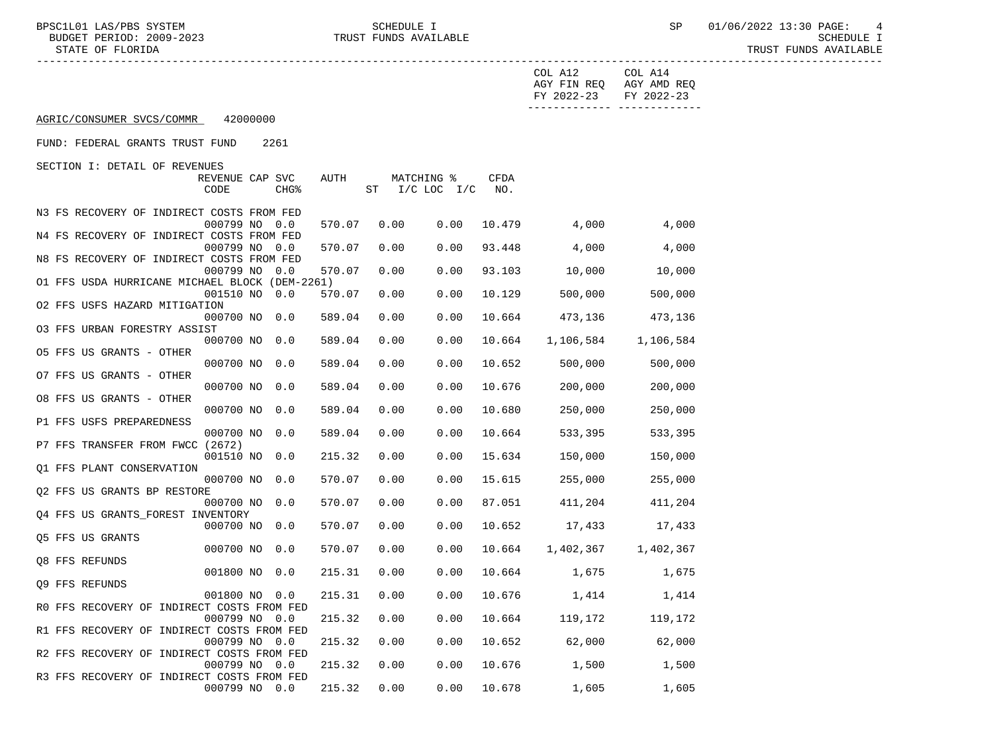TRUST FUNDS AVAILABLE

|                                                               |        |                              |      |             | COL A12<br>AGY FIN REQ AGY AMD REQ<br>FY 2022-23 | COL A14<br>FY 2022-23         |
|---------------------------------------------------------------|--------|------------------------------|------|-------------|--------------------------------------------------|-------------------------------|
| AGRIC/CONSUMER SVCS/COMMR<br>42000000                         |        |                              |      |             |                                                  | -------------- -------------- |
| FUND: FEDERAL GRANTS TRUST FUND<br>2261                       |        |                              |      |             |                                                  |                               |
| SECTION I: DETAIL OF REVENUES                                 |        |                              |      |             |                                                  |                               |
| REVENUE CAP SVC<br>CODE<br>CHG <sup>8</sup>                   | AUTH   | MATCHING %<br>ST I/C LOC I/C |      | CFDA<br>NO. |                                                  |                               |
| N3 FS RECOVERY OF INDIRECT COSTS FROM FED                     |        |                              |      |             |                                                  |                               |
| 000799 NO<br>0.0                                              | 570.07 | 0.00                         | 0.00 | 10.479      | 4,000                                            | 4,000                         |
| N4 FS RECOVERY OF INDIRECT COSTS FROM FED                     |        |                              |      |             |                                                  |                               |
| 000799 NO<br>0.0<br>N8 FS RECOVERY OF INDIRECT COSTS FROM FED | 570.07 | 0.00                         | 0.00 | 93.448      | 4,000                                            | 4,000                         |
| 000799 NO<br>0.0                                              | 570.07 | 0.00                         | 0.00 | 93.103      | 10,000                                           | 10,000                        |
| O1 FFS USDA HURRICANE MICHAEL BLOCK (DEM-2261)                |        |                              |      |             |                                                  |                               |
| 001510 NO 0.0                                                 | 570.07 | 0.00                         | 0.00 | 10.129      | 500,000                                          | 500,000                       |
| 02 FFS USFS HAZARD MITIGATION<br>000700 NO 0.0                | 589.04 | 0.00                         | 0.00 | 10.664      | 473,136                                          | 473,136                       |
| 03 FFS URBAN FORESTRY ASSIST                                  |        |                              |      |             |                                                  |                               |
| 000700 NO 0.0                                                 | 589.04 | 0.00                         | 0.00 | 10.664      | 1,106,584                                        | 1,106,584                     |
| 05 FFS US GRANTS - OTHER<br>000700 NO 0.0                     | 589.04 | 0.00                         | 0.00 | 10.652      | 500,000                                          | 500,000                       |
| 07 FFS US GRANTS - OTHER                                      |        |                              |      |             |                                                  |                               |
| 000700 NO 0.0                                                 | 589.04 | 0.00                         | 0.00 | 10.676      | 200,000                                          | 200,000                       |
| 08 FFS US GRANTS - OTHER                                      |        |                              |      |             |                                                  |                               |
| 000700 NO 0.0<br>P1 FFS USFS PREPAREDNESS                     | 589.04 | 0.00                         | 0.00 | 10.680      | 250,000                                          | 250,000                       |
| 000700 NO 0.0                                                 | 589.04 | 0.00                         | 0.00 | 10.664      | 533,395                                          | 533,395                       |
| P7 FFS TRANSFER FROM FWCC (2672)                              |        |                              |      |             |                                                  |                               |
| 001510 NO 0.0                                                 | 215.32 | 0.00                         | 0.00 | 15.634      | 150,000                                          | 150,000                       |
| Q1 FFS PLANT CONSERVATION<br>000700 NO 0.0                    | 570.07 | 0.00                         | 0.00 | 15.615      | 255,000                                          | 255,000                       |
| Q2 FFS US GRANTS BP RESTORE                                   |        |                              |      |             |                                                  |                               |
| 000700 NO 0.0                                                 | 570.07 | 0.00                         | 0.00 | 87.051      | 411,204                                          | 411,204                       |
| Q4 FFS US GRANTS FOREST INVENTORY<br>000700 NO 0.0            | 570.07 | 0.00                         | 0.00 | 10.652      | 17,433                                           | 17,433                        |
| Q5 FFS US GRANTS                                              |        |                              |      |             |                                                  |                               |
| 000700 NO 0.0                                                 | 570.07 | 0.00                         | 0.00 |             | 10.664 1,402,367 1,402,367                       |                               |
| Q8 FFS REFUNDS                                                |        |                              |      |             |                                                  |                               |
| 001800 NO 0.0<br>Q9 FFS REFUNDS                               | 215.31 | 0.00                         | 0.00 |             | 10.664 1,675                                     | 1,675                         |
| 001800 NO 0.0                                                 |        |                              |      |             | 215.31  0.00  0.00  10.676  1,414                | 1,414                         |
| RO FFS RECOVERY OF INDIRECT COSTS FROM FED                    |        |                              |      |             |                                                  |                               |
| 000799 NO 0.0<br>R1 FFS RECOVERY OF INDIRECT COSTS FROM FED   | 215.32 | 0.00                         | 0.00 | 10.664      | 119,172                                          | 119,172                       |
| 000799 NO 0.0                                                 | 215.32 | 0.00                         | 0.00 | 10.652      | 62,000                                           | 62,000                        |
| R2 FFS RECOVERY OF INDIRECT COSTS FROM FED                    |        |                              |      |             |                                                  |                               |
| 000799 NO 0.0                                                 | 215.32 | 0.00                         | 0.00 | 10.676      | 1,500                                            | 1,500                         |
| R3 FFS RECOVERY OF INDIRECT COSTS FROM FED<br>000799 NO 0.0   | 215.32 | 0.00                         | 0.00 | 10.678      | 1,605                                            | 1,605                         |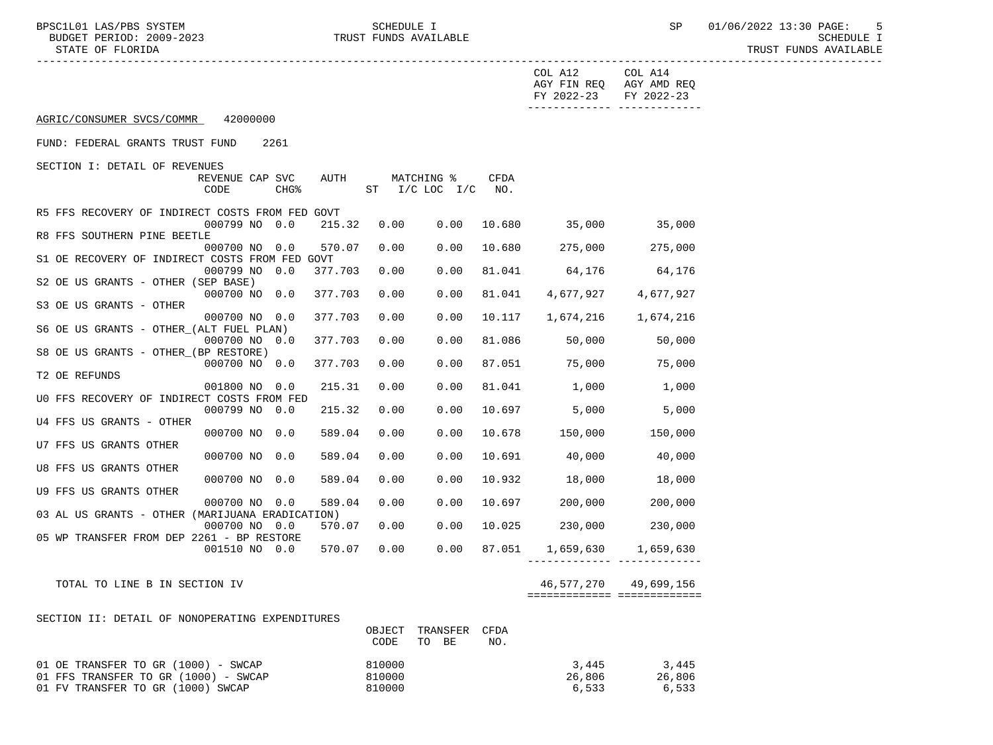STATE OF FLORIDA AND INTERNATIONAL STATE OF FUNDS AVAILABLE

|                                                 |                         |                  |         |      |                              |                    | COL A12    | COL A14<br>AGY FIN REQ AGY AMD REQ         |
|-------------------------------------------------|-------------------------|------------------|---------|------|------------------------------|--------------------|------------|--------------------------------------------|
|                                                 |                         |                  |         |      |                              |                    | FY 2022-23 | FY 2022-23<br>------------- -------------- |
| AGRIC/CONSUMER SVCS/COMMR                       | 42000000                |                  |         |      |                              |                    |            |                                            |
| FUND: FEDERAL GRANTS TRUST FUND                 |                         | 2261             |         |      |                              |                    |            |                                            |
| SECTION I: DETAIL OF REVENUES                   |                         |                  |         |      |                              |                    |            |                                            |
|                                                 | REVENUE CAP SVC<br>CODE | CHG <sup>8</sup> | AUTH    |      | MATCHING %<br>ST I/C LOC I/C | <b>CFDA</b><br>NO. |            |                                            |
| R5 FFS RECOVERY OF INDIRECT COSTS FROM FED GOVT |                         |                  |         |      |                              |                    |            |                                            |
| R8 FFS SOUTHERN PINE BEETLE                     | 000799 NO 0.0           |                  | 215.32  | 0.00 | 0.00                         | 10.680             | 35,000     | 35,000                                     |
|                                                 | 000700 NO 0.0           |                  | 570.07  | 0.00 | 0.00                         | 10.680             | 275,000    | 275,000                                    |
| S1 OE RECOVERY OF INDIRECT COSTS FROM FED GOVT  |                         |                  |         |      |                              |                    |            |                                            |
|                                                 | 000799 NO 0.0           |                  | 377.703 | 0.00 | 0.00                         | 81.041             | 64,176     | 64,176                                     |
| S2 OE US GRANTS - OTHER (SEP BASE)              |                         |                  |         |      |                              |                    |            |                                            |
|                                                 | 000700 NO 0.0           |                  | 377.703 | 0.00 | 0.00                         | 81.041             | 4,677,927  | 4,677,927                                  |
| S3 OE US GRANTS - OTHER                         |                         |                  |         |      |                              |                    |            |                                            |
| S6 OE US GRANTS - OTHER (ALT FUEL PLAN)         | 000700 NO 0.0           |                  | 377.703 | 0.00 | 0.00                         | 10.117             | 1,674,216  | 1,674,216                                  |
|                                                 | 000700 NO 0.0           |                  | 377.703 | 0.00 | 0.00                         | 81.086             | 50,000     | 50,000                                     |
| S8 OE US GRANTS - OTHER (BP RESTORE)            |                         |                  |         |      |                              |                    |            |                                            |
|                                                 | 000700 NO 0.0           |                  | 377.703 | 0.00 | 0.00                         | 87.051             | 75,000     | 75,000                                     |
| T2 OE REFUNDS                                   |                         |                  |         |      |                              |                    |            |                                            |
|                                                 | 001800 NO 0.0           |                  | 215.31  | 0.00 | 0.00                         | 81.041             | 1,000      | 1,000                                      |
| UO FFS RECOVERY OF INDIRECT COSTS FROM FED      |                         |                  |         |      |                              |                    |            |                                            |
|                                                 | 000799 NO 0.0           |                  | 215.32  | 0.00 | 0.00                         | 10.697             | 5,000      | 5,000                                      |
| U4 FFS US GRANTS - OTHER                        |                         |                  |         |      |                              |                    |            |                                            |
|                                                 | 000700 NO 0.0           |                  | 589.04  | 0.00 | 0.00                         | 10.678             | 150,000    | 150,000                                    |
| U7 FFS US GRANTS OTHER                          | 000700 NO 0.0           |                  | 589.04  | 0.00 |                              | 10.691             | 40,000     | 40,000                                     |
| U8 FFS US GRANTS OTHER                          |                         |                  |         |      | 0.00                         |                    |            |                                            |
|                                                 | 000700 NO 0.0           |                  | 589.04  | 0.00 | 0.00                         | 10.932             | 18,000     | 18,000                                     |
| U9 FFS US GRANTS OTHER                          |                         |                  |         |      |                              |                    |            |                                            |
|                                                 | 000700 NO 0.0           |                  | 589.04  | 0.00 | 0.00                         | 10.697             | 200,000    | 200,000                                    |
| 03 AL US GRANTS - OTHER (MARIJUANA ERADICATION) |                         |                  |         |      |                              |                    |            |                                            |
|                                                 | 000700 NO 0.0           |                  | 570.07  | 0.00 | 0.00                         | 10.025             | 230,000    | 230,000                                    |
| 05 WP TRANSFER FROM DEP 2261 - BP RESTORE       |                         |                  |         |      |                              |                    |            |                                            |
|                                                 | 001510 NO 0.0           |                  | 570.07  | 0.00 | 0.00                         | 87.051             |            | 1,659,630 1,659,630                        |
| TOTAL TO LINE B IN SECTION IV                   |                         |                  |         |      |                              |                    | 46,577,270 | 49,699,156                                 |
|                                                 |                         |                  |         |      |                              |                    |            | ============================               |
|                                                 |                         |                  |         |      |                              |                    |            |                                            |

SECTION II: DETAIL OF NONOPERATING EXPENDITURES

|                                      | OBJECT |    | TRANSFER | CFDA |        |        |
|--------------------------------------|--------|----|----------|------|--------|--------|
|                                      | CODE   | TO | BE       | NO.  |        |        |
| 01 OE TRANSFER TO GR (1000) - SWCAP  | 810000 |    |          |      | 3,445  | 3,445  |
| 01 FFS TRANSFER TO GR (1000) - SWCAP | 810000 |    |          |      | 26,806 | 26,806 |
| 01 FV TRANSFER TO GR (1000) SWCAP    | 810000 |    |          |      | 6,533  | 6,533  |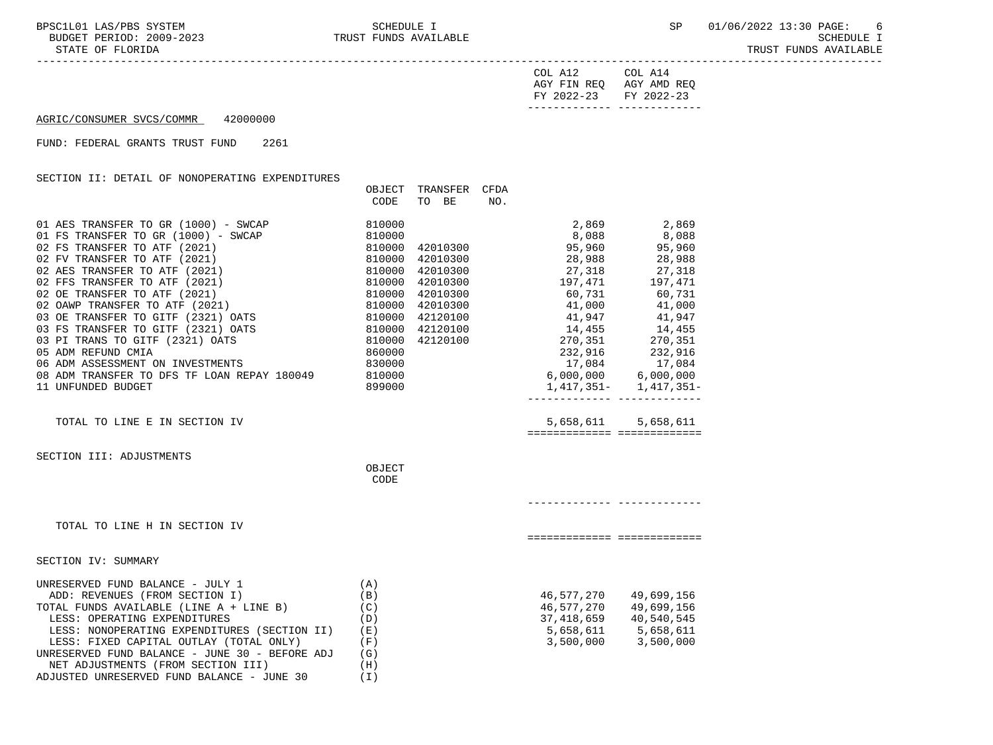-----------------------------------------------------------------------------------------------------------------------------------

STATE OF FLORIDA TRUST FUNDS AVAILABLE

| COL A12               | COL A14                 |
|-----------------------|-------------------------|
|                       | AGY FIN REQ AGY AMD REQ |
| FY 2022-23 FY 2022-23 |                         |
|                       |                         |

## AGRIC/CONSUMER SVCS/COMMR 42000000

## FUND: FEDERAL GRANTS TRUST FUND 2261

## SECTION II: DETAIL OF NONOPERATING EXPENDITURES

|                                                                                                                                                                                                                                                                                                                                                                                                    | OBJECT<br>CODE                  | TRANSFER CFDA<br>TO BE NO. |                                                                                                                           |                                                     |
|----------------------------------------------------------------------------------------------------------------------------------------------------------------------------------------------------------------------------------------------------------------------------------------------------------------------------------------------------------------------------------------------------|---------------------------------|----------------------------|---------------------------------------------------------------------------------------------------------------------------|-----------------------------------------------------|
|                                                                                                                                                                                                                                                                                                                                                                                                    |                                 |                            |                                                                                                                           |                                                     |
|                                                                                                                                                                                                                                                                                                                                                                                                    |                                 |                            |                                                                                                                           |                                                     |
|                                                                                                                                                                                                                                                                                                                                                                                                    |                                 |                            |                                                                                                                           |                                                     |
| 05 ADM REFUND CMIA<br>06 ADM ASSESSMENT ON INVESTMENTS 830000<br>08 ADM TRANSFER TO DFS TF LOAN REPAY 180049 810000                                                                                                                                                                                                                                                                                |                                 |                            | $232,916$<br>$17,084$<br>$5,000,000$<br>$6,000,000$<br>$32,916$<br>$17,084$                                               |                                                     |
| 11 UNFUNDED BUDGET                                                                                                                                                                                                                                                                                                                                                                                 | 899000                          |                            |                                                                                                                           |                                                     |
| TOTAL TO LINE E IN SECTION IV                                                                                                                                                                                                                                                                                                                                                                      |                                 |                            |                                                                                                                           | 5,658,611 5,658,611<br>============================ |
| SECTION III: ADJUSTMENTS                                                                                                                                                                                                                                                                                                                                                                           | OBJECT                          |                            |                                                                                                                           |                                                     |
|                                                                                                                                                                                                                                                                                                                                                                                                    | CODE                            |                            |                                                                                                                           |                                                     |
| TOTAL TO LINE H IN SECTION IV                                                                                                                                                                                                                                                                                                                                                                      |                                 |                            |                                                                                                                           | ============================                        |
| SECTION IV: SUMMARY                                                                                                                                                                                                                                                                                                                                                                                |                                 |                            |                                                                                                                           |                                                     |
| UNRESERVED FUND BALANCE - JULY 1<br>ADD: REVENUES (FROM SECTION I) $(B)$<br>TOTAL FUNDS AVAILABLE (LINE A + LINE B) $(C)$<br>LESS: OPERATING EXPENDITURES<br>LESS: NONOPERATING EXPENDITURES (SECTION II) (E)<br>LESS: FIXED CAPITAL OUTLAY (TOTAL ONLY)<br>UNRESERVED FUND BALANCE - JUNE 30 - BEFORE ADJ (G)<br>NET ADJUSTMENTS (FROM SECTION III)<br>ADJUSTED UNRESERVED FUND BALANCE - JUNE 30 | (A)<br>(D)<br>(F)<br>(H)<br>(T) |                            | 46,577,270 49,699,156<br>$46,577,270$ $49,699,156$<br>37,418,659 40,540,545<br>5,658,611 5,658,611<br>3,500,000 3,500,000 |                                                     |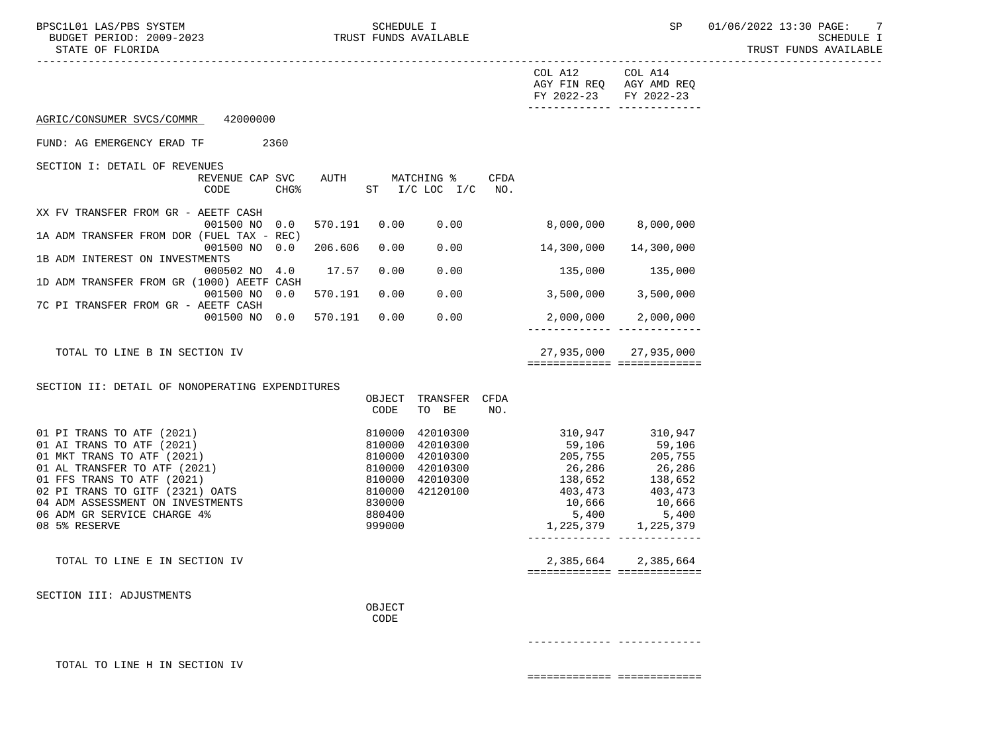TRUST FUNDS AVAILABLE

|                                                                                                                                                                                                                                                                           |                                             |                  |                            |                                                                                                                                                            |      | COL A12<br>AGY FIN REQ AGY AMD REQ<br>FY 2022-23 FY 2022-23                       | COL A14                                                     |  |
|---------------------------------------------------------------------------------------------------------------------------------------------------------------------------------------------------------------------------------------------------------------------------|---------------------------------------------|------------------|----------------------------|------------------------------------------------------------------------------------------------------------------------------------------------------------|------|-----------------------------------------------------------------------------------|-------------------------------------------------------------|--|
| AGRIC/CONSUMER SVCS/COMMR 42000000                                                                                                                                                                                                                                        |                                             |                  |                            |                                                                                                                                                            |      |                                                                                   |                                                             |  |
| FUND: AG EMERGENCY ERAD TF                                                                                                                                                                                                                                                | 2360                                        |                  |                            |                                                                                                                                                            |      |                                                                                   |                                                             |  |
| SECTION I: DETAIL OF REVENUES                                                                                                                                                                                                                                             | REVENUE CAP SVC<br>CODE<br>CHG <sup>8</sup> |                  |                            | AUTH MATCHING %<br>ST I/C LOC I/C NO.                                                                                                                      | CFDA |                                                                                   |                                                             |  |
| XX FV TRANSFER FROM GR - AEETF CASH                                                                                                                                                                                                                                       | 001500 NO 0.0                               |                  |                            |                                                                                                                                                            |      | 570.191  0.00  0.00  8,000,000  8,000,000                                         |                                                             |  |
| 1A ADM TRANSFER FROM DOR (FUEL TAX - REC)                                                                                                                                                                                                                                 | 001500 NO 0.0                               | 206.606          | 0.00                       |                                                                                                                                                            |      | $0.00$ 14,300,000                                                                 | 14,300,000                                                  |  |
| 1B ADM INTEREST ON INVESTMENTS                                                                                                                                                                                                                                            | 000502 NO 4.0 17.57 0.00                    |                  |                            |                                                                                                                                                            |      |                                                                                   |                                                             |  |
| 1D ADM TRANSFER FROM GR (1000) AEETF CASH                                                                                                                                                                                                                                 | 001500 NO 0.0                               | 570.191          | 0.00                       |                                                                                                                                                            |      | $0.00$ 3,500,000 3,500,000                                                        |                                                             |  |
| 7C PI TRANSFER FROM GR - AEETF CASH                                                                                                                                                                                                                                       | 001500 NO 0.0 570.191                       |                  |                            | 0.00 0.00                                                                                                                                                  |      | ________________________________                                                  | 2,000,000 2,000,000                                         |  |
| TOTAL TO LINE B IN SECTION IV                                                                                                                                                                                                                                             |                                             |                  |                            |                                                                                                                                                            |      | ============================                                                      | 27,935,000 27,935,000                                       |  |
| SECTION II: DETAIL OF NONOPERATING EXPENDITURES                                                                                                                                                                                                                           |                                             |                  | CODE                       | OBJECT TRANSFER CFDA<br>TO BE                                                                                                                              | NO.  |                                                                                   |                                                             |  |
| 01 PI TRANS TO ATF (2021)<br>01 AI TRANS TO ATF (2021)<br>01 MKT TRANS TO ATF (2021)<br>01 AL TRANSFER TO ATF (2021)<br>01 FFS TRANS TO ATF (2021)<br>02 PI TRANS TO GITF (2321) OATS<br>04 ADM ASSESSMENT ON INVESTMENTS<br>06 ADM GR SERVICE CHARGE 4%<br>08 5% RESERVE |                                             | 810000<br>810000 | 830000<br>880400<br>999000 | 42010300<br>42010300<br>$\begin{array}{rrrr} 610000 & 42010300 \ 810000 & 42010300 \ 810000 & 42010300 \ 810000 & 42010300 \ 10000 & 42120100 \end{array}$ |      | 205,755<br>26,286<br>138,652<br>403,473<br>10,666<br>5,400<br>1,225,379 1,225,379 | 205, 755<br>26,286<br>138,652<br>403,473<br>10,666<br>5,400 |  |
| TOTAL TO LINE E IN SECTION IV                                                                                                                                                                                                                                             |                                             |                  |                            |                                                                                                                                                            |      | =============================                                                     | 2,385,664 2,385,664                                         |  |
| SECTION III: ADJUSTMENTS                                                                                                                                                                                                                                                  |                                             |                  | OBJECT<br>CODE             |                                                                                                                                                            |      |                                                                                   |                                                             |  |

------------- -------------

TOTAL TO LINE H IN SECTION IV

============= =============